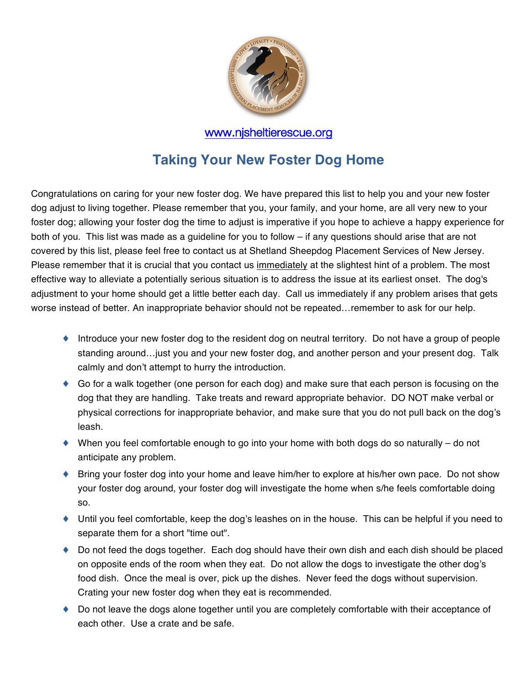

# **Taking Your New Foster Dog Home**

Congratulations on caring for your new foster dog. We have prepared this list to help you and your new foster dog adjust to living together. Please remember that you, your family, and your home, are all very new to your foster dog; allowing your foster dog the time to adjust is imperative if you hope to achieve a happy experience for both of you. This list was made as a guideline for you to follow – if any questions should arise that are not covered by this list, please feel free to contact us at Shetland Sheepdog Placement Services of New Jersey. Please remember that it is crucial that you contact us inmediately at the slightest hint of a problem. The most effective way to alleviate a potentially serious situation is to address the issue at its earliest onset. The dog's adjustment to your home should get a little better each day. Call us immediately if any problem arises that gets worse instead of better. An inappropriate behavior should not be repeated…remember to ask for our help.

- ♦ Introduce your new foster dog to the resident dog on neutral territory. Do not have a group of people standing around…just you and your new foster dog, and another person and your present dog. Talk calmly and don't attempt to hurry the introduction.
- ♦ Go for a walk together (one person for each dog) and make sure that each person is focusing on the dog that they are handling. Take treats and reward appropriate behavior. DO NOT make verbal or physical corrections for inappropriate behavior, and make sure that you do not pull back on the dog's leash.
- $\blacklozenge$  When you feel comfortable enough to go into your home with both dogs do so naturally do not anticipate any problem.
- ♦ Bring your foster dog into your home and leave him/her to explore at his/her own pace. Do not show your foster dog around, your foster dog will investigate the home when s/he feels comfortable doing so.
- ♦ Until you feel comfortable, keep the dog's leashes on in the house. This can be helpful if you need to separate them for a short "time out".
- ♦ Do not feed the dogs together. Each dog should have their own dish and each dish should be placed on opposite ends of the room when they eat. Do not allow the dogs to investigate the other dog's food dish. Once the meal is over, pick up the dishes. Never feed the dogs without supervision. Crating your new foster dog when they eat is recommended.
- ♦ Do not leave the dogs alone together until you are completely comfortable with their acceptance of each other. Use a crate and be safe.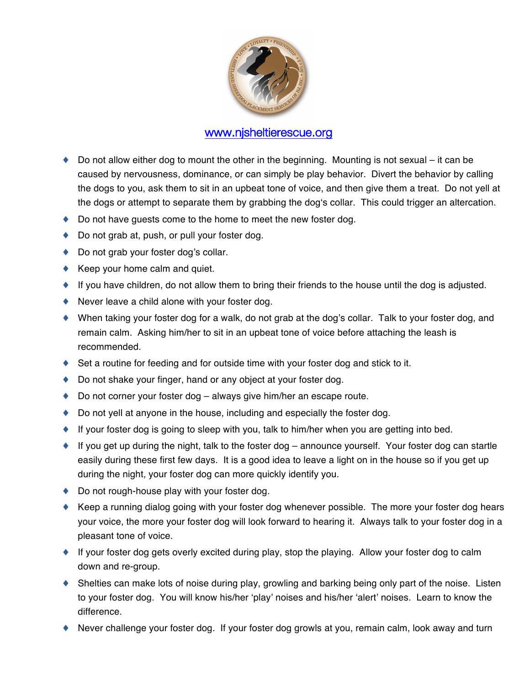

- $\bullet$  Do not allow either dog to mount the other in the beginning. Mounting is not sexual it can be caused by nervousness, dominance, or can simply be play behavior. Divert the behavior by calling the dogs to you, ask them to sit in an upbeat tone of voice, and then give them a treat. Do not yell at the dogs or attempt to separate them by grabbing the dogʻs collar. This could trigger an altercation.
- ♦ Do not have guests come to the home to meet the new foster dog.
- ◆ Do not grab at, push, or pull your foster dog.
- ♦ Do not grab your foster dog's collar.
- $\triangle$  Keep your home calm and quiet.
- ♦ If you have children, do not allow them to bring their friends to the house until the dog is adjusted.
- ♦ Never leave a child alone with your foster dog.
- ♦ When taking your foster dog for a walk, do not grab at the dog's collar. Talk to your foster dog, and remain calm. Asking him/her to sit in an upbeat tone of voice before attaching the leash is recommended.
- $\blacklozenge$  Set a routine for feeding and for outside time with your foster dog and stick to it.
- ♦ Do not shake your finger, hand or any object at your foster dog.
- ♦ Do not corner your foster dog always give him/her an escape route.
- $\bullet$  Do not yell at anyone in the house, including and especially the foster dog.
- $\bullet$  If your foster dog is going to sleep with you, talk to him/her when you are getting into bed.
- $\bullet$  If you get up during the night, talk to the foster dog announce yourself. Your foster dog can startle easily during these first few days. It is a good idea to leave a light on in the house so if you get up during the night, your foster dog can more quickly identify you.
- ◆ Do not rough-house play with your foster dog.
- ♦ Keep a running dialog going with your foster dog whenever possible. The more your foster dog hears your voice, the more your foster dog will look forward to hearing it. Always talk to your foster dog in a pleasant tone of voice.
- ♦ If your foster dog gets overly excited during play, stop the playing. Allow your foster dog to calm down and re-group.
- ♦ Shelties can make lots of noise during play, growling and barking being only part of the noise. Listen to your foster dog. You will know his/her ʻplay' noises and his/her ʻalert' noises. Learn to know the difference.
- ♦ Never challenge your foster dog. If your foster dog growls at you, remain calm, look away and turn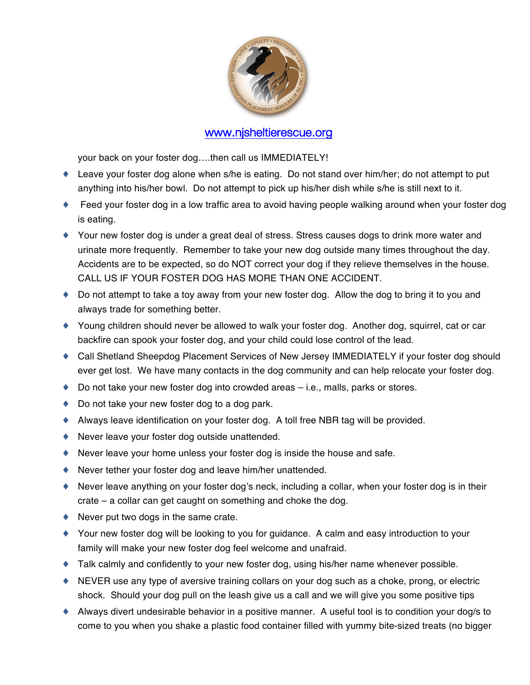

your back on your foster dog….then call us IMMEDIATELY!

- ♦ Leave your foster dog alone when s/he is eating. Do not stand over him/her; do not attempt to put anything into his/her bowl. Do not attempt to pick up his/her dish while s/he is still next to it.
- ◆ Feed your foster dog in a low traffic area to avoid having people walking around when your foster dog is eating.
- ♦ Your new foster dog is under a great deal of stress. Stress causes dogs to drink more water and urinate more frequently. Remember to take your new dog outside many times throughout the day. Accidents are to be expected, so do NOT correct your dog if they relieve themselves in the house. CALL US IF YOUR FOSTER DOG HAS MORE THAN ONE ACCIDENT.
- ♦ Do not attempt to take a toy away from your new foster dog. Allow the dog to bring it to you and always trade for something better.
- ♦ Young children should never be allowed to walk your foster dog. Another dog, squirrel, cat or car backfire can spook your foster dog, and your child could lose control of the lead.
- ♦ Call Shetland Sheepdog Placement Services of New Jersey IMMEDIATELY if your foster dog should ever get lost. We have many contacts in the dog community and can help relocate your foster dog.
- $\bullet$  Do not take your new foster dog into crowded areas  $-$  i.e., malls, parks or stores.
- ◆ Do not take your new foster dog to a dog park.
- ♦ Always leave identification on your foster dog. A toll free NBR tag will be provided.
- ♦ Never leave your foster dog outside unattended.
- ♦ Never leave your home unless your foster dog is inside the house and safe.
- ♦ Never tether your foster dog and leave him/her unattended.
- ♦ Never leave anything on your foster dog's neck, including a collar, when your foster dog is in their crate – a collar can get caught on something and choke the dog.
- $\blacklozenge$  Never put two dogs in the same crate.
- ♦ Your new foster dog will be looking to you for guidance. A calm and easy introduction to your family will make your new foster dog feel welcome and unafraid.
- ♦ Talk calmly and confidently to your new foster dog, using his/her name whenever possible.
- ♦ NEVER use any type of aversive training collars on your dog such as a choke, prong, or electric shock. Should your dog pull on the leash give us a call and we will give you some positive tips
- ♦ Always divert undesirable behavior in a positive manner. A useful tool is to condition your dog/s to come to you when you shake a plastic food container filled with yummy bite-sized treats (no bigger